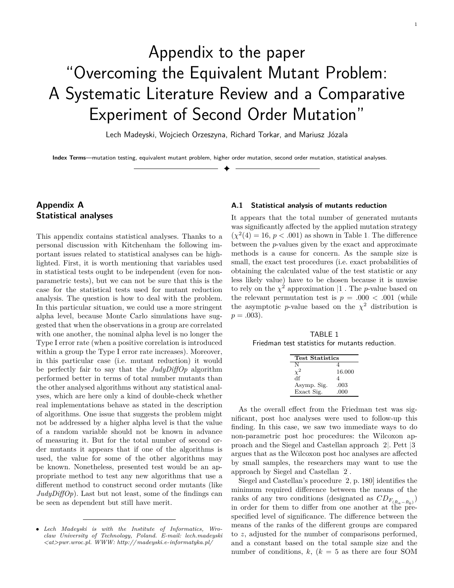# Appendix to the paper "Overcoming the Equivalent Mutant Problem: A Systematic Literature Review and a Comparative Experiment of Second Order Mutation"

Lech Madeyski, Wojciech Orzeszyna, Richard Torkar, and Mariusz Józala

✦

**Index Terms**—mutation testing, equivalent mutant problem, higher order mutation, second order mutation, statistical analyses.

# **Appendix A Statistical analyses**

This appendix contains statistical analyses. Thanks to a personal discussion with Kitchenham the following important issues related to statistical analyses can be highlighted. First, it is worth mentioning that variables used in statistical tests ought to be independent (even for nonparametric tests), but we can not be sure that this is the case for the statistical tests used for mutant reduction analysis. The question is how to deal with the problem. In this particular situation, we could use a more stringent alpha level, because Monte Carlo simulations have suggested that when the observations in a group are correlated with one another, the nominal alpha level is no longer the Type I error rate (when a positive correlation is introduced within a group the Type I error rate increases). Moreover, in this particular case (i.e. mutant reduction) it would be perfectly fair to say that the *JudyDiffOp* algorithm performed better in terms of total number mutants than the other analysed algorithms without any statistical analyses, which are here only a kind of double-check whether real implementations behave as stated in the description of algorithms. One issue that suggests the problem might not be addressed by a higher alpha level is that the value of a random variable should not be known in advance of measuring it. But for the total number of second order mutants it appears that if one of the algorithms is used, the value for some of the other algorithms may be known. Nonetheless, presented test would be an appropriate method to test any new algorithms that use a different method to construct second order mutants (like *JudyDiffOp*). Last but not least, some of the findings can be seen as dependent but still have merit.

# **A.1 Statistical analysis of mutants reduction**

It appears that the total number of generated mutants was significantly affected by the applied mutation strategy  $(\chi^2(4) = 16, p < .001)$  as shown in Table [1.](#page-0-0) The difference between the *p*-values given by the exact and approximate methods is a cause for concern. As the sample size is small, the exact test procedures (i.e. exact probabilities of obtaining the calculated value of the test statistic or any less likely value) have to be chosen because it is unwise to rely on the  $\chi^2$  approximation [\[1\]](#page-5-0). The *p*-value based on the relevant permutation test is  $p = .000 < .001$  (while the asymptotic *p*-value based on the  $\chi^2$  distribution is  $p = .003$ ).

<span id="page-0-0"></span>TABLE 1 Friedman test statistics for mutants reduction.

| <b>Test Statistics</b> |        |
|------------------------|--------|
|                        |        |
|                        |        |
|                        | 16.000 |
| df                     | 4      |
| Asymp. Sig.            | .003   |
| Exact Sig.             | .000   |

As the overall effect from the Friedman test was significant, post hoc analyses were used to follow-up this finding. In this case, we saw two immediate ways to do non-parametric post hoc procedures: the Wilcoxon approach and the Siegel and Castellan approach [\[2\]](#page-5-1). Pett [\[3\]](#page-5-2) argues that as the Wilcoxon post hoc analyses are affected by small samples, the researchers may want to use the approach by Siegel and Castellan [\[2\]](#page-5-1).

Siegel and Castellan's procedure [\[2,](#page-5-1) p. 180] identifies the minimum required difference between the means of the ranks of any two conditions (designated as  $CD_{F_{(\bar{R}_a - \bar{R}_b)}}$ ) in order for them to differ from one another at the prespecified level of significance. The difference between the means of the ranks of the different groups are compared to *z*, adjusted for the number of comparisons performed, and a constant based on the total sample size and the number of conditions,  $k, (k = 5$  as there are four SOM

<sup>•</sup> *Lech Madeyski is with the Institute of Informatics, Wroclaw University of Technology, Poland. E-mail: lech.madeyski <at>pwr.wroc.pl. WWW:<http://madeyski.e-informatyka.pl/>*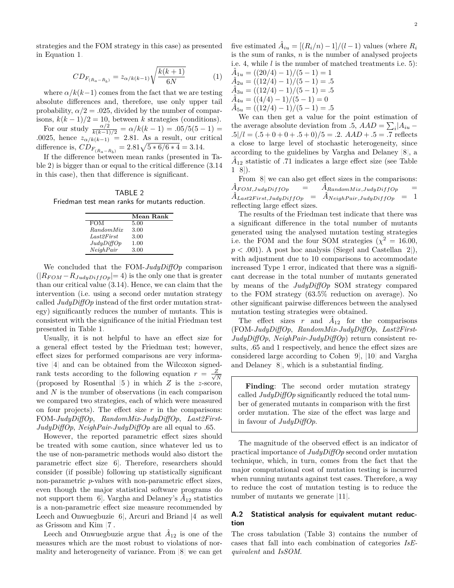strategies and the FOM strategy in this case) as presented in Equation [1.](#page-1-0)

<span id="page-1-0"></span>
$$
CD_{F_{(\bar{R}_a - \bar{R}_b)}} = z_{\alpha/k(k-1)} \sqrt{\frac{k(k+1)}{6N}} \tag{1}
$$

where  $\alpha/k(k-1)$  comes from the fact that we are testing absolute differences and, therefore, use only upper tail probability,  $\alpha/2 = .025$ , divided by the number of comparisons,  $k(k-1)/2 = 10$ , between *k* strategies (conditions).

For our study  $\frac{\alpha/2}{k(k-1)/2} = \alpha/k(k-1) = .05/5(5-1) =$ *.*0025, hence  $z_{\alpha/k(k-1)} = 2.81$ . As a result, our critical difference is,  $CD_{F_{(\bar{R}_a - \bar{R}_b)}} = 2.81\sqrt{5 * 6/6 * 4} = 3.14.$ 

If the difference between mean ranks (presented in Table [2\)](#page-1-1) is bigger than or equal to the critical difference (3.14 in this case), then that difference is significant.

<span id="page-1-1"></span>TABLE 2 Friedman test mean ranks for mutants reduction.

|            | Mean Rank |
|------------|-----------|
| <b>FOM</b> | 5.00      |
| RandomMix  | 3.00      |
| Last2First | 3.00      |
| JudyDiffOp | 1.00      |
| NeighPair  | 3.00      |

We concluded that the FOM-*JudyDiffOp* comparison  $(|R_{FOM} - R_{JudyDiffOp}| = 4)$  is the only one that is greater than our critical value (3*.*14). Hence, we can claim that the intervention (i.e. using a second order mutation strategy called *JudyDiffOp* instead of the first order mutation strategy) significantly reduces the number of mutants. This is consistent with the significance of the initial Friedman test presented in Table [1.](#page-0-0)

Usually, it is not helpful to have an effect size for a general effect tested by the Friedman test; however, effect sizes for performed comparisons are very informative [\[4\]](#page-5-3) and can be obtained from the Wilcoxon signedrank tests according to the following equation  $r = \frac{Z}{\sqrt{2}}$ *N* (proposed by Rosenthal [\[5\]](#page-5-4)) in which *Z* is the *z*-score, and *N* is the number of observations (in each comparison we compared two strategies, each of which were measured on four projects). The effect size *r* in the comparisons: FOM-*JudyDiffOp*, *RandomMix*-*JudyDiffOp*, *Last2First*-*JudyDiffOp*, *NeighPair*-*JudyDiffOp* are all equal to *.*65.

However, the reported parametric effect sizes should be treated with some caution, since whatever led us to the use of non-parametric methods would also distort the parametric effect size [\[6\]](#page-5-5). Therefore, researchers should consider (if possible) following up statistically significant non-parametric *p*-values with non-parametric effect sizes, even though the major statistical software programs do not support them [\[6\]](#page-5-5). Vargha and Delaney's  $\hat{A}_{12}$  statistics is a non-parametric effect size measure recommended by Leech and Onwuegbuzie [\[6\]](#page-5-5), Arcuri and Briand [\[4\]](#page-5-3) as well as Grissom and Kim [\[7\]](#page-5-6).

Leech and Onwuegbuzie argue that  $\hat{A}_{12}$  is one of the measures which are the most robust to violations of normality and heterogeneity of variance. From [\[8\]](#page-5-7) we can get

five estimated  $\hat{A}_{iu} = [(R_i/n) - 1]/(l-1)$  values (where  $R_i$ is the sum of ranks, *n* is the number of analysed projects i.e. 4, while *l* is the number of matched treatments i.e. 5):

 $\hat{A}_{1u} = ((20/4) - 1)/(5 - 1) = 1$  $\hat{A}_{2u} = ((12/4) - 1)/(5 - 1) = .5$  $\hat{A}_{3u} = ((12/4) - 1)/(5 - 1) = .5$  $\hat{A}_{4u} = \left(\frac{4}{4} - 1\right)/(5 - 1) = 0$  $\hat{A}_{5u} = \frac{(12/4) - 1}{5} = .5$ 

We can then get a value for the point estimation of the average absolute deviation from .5,  $AAD = \sum_{i} |A_{iu} - \sum_{i} |A_{iu}|$  $.5|/l = (0.5 + 0 + 0 + 0.5 + 0)/5 = 0.2$ .  $AAD + 0.5 = 0.7$  reflects a close to large level of stochastic heterogeneity, since according to the guidelines by Vargha and Delaney [\[8\]](#page-5-7), a  $\hat{A}_{12}$  statistic of .71 indicates a large effect size (see Table  $1 [8]$  $1 [8]$ .

From [\[8\]](#page-5-7) we can also get effect sizes in the comparisons:  $A_{FOM,JudyDiffOp$ </mark>  $\ddot{A}_{RandomMix,JulyDiffOp}$  $\hat{A}_{Last2First,JulyDiffOp}$  =  $\hat{A}_{NeighPair,JulyDiffOp}$  = 1 reflecting large effect sizes.

The results of the Friedman test indicate that there was a significant difference in the total number of mutants generated using the analysed mutation testing strategies i.e. the FOM and the four SOM strategies ( $\chi^2 = 16.00$ ,  $p < .001$ ). A post hoc analysis (Siegel and Castellan [\[2\]](#page-5-1)), with adjustment due to 10 comparisons to accommodate increased Type 1 error, indicated that there was a significant decrease in the total number of mutants generated by means of the *JudyDiffOp* SOM strategy compared to the FOM strategy (63.5% reduction on average). No other significant pairwise differences between the analysed mutation testing strategies were obtained.

The effect sizes  $r$  and  $\hat{A}_{12}$  for the comparisons (FOM-*JudyDiffOp*, *RandomMix*-*JudyDiffOp*, *Last2First*-*JudyDiffOp*, *NeighPair*-*JudyDiffOp*) return consistent results, *.*65 and 1 respectively, and hence the effect sizes are considered large according to Cohen [\[9\]](#page-6-0), [\[10\]](#page-6-1) and Vargha and Delaney [\[8\]](#page-5-7), which is a substantial finding.

**Finding**: The second order mutation strategy called *JudyDiffOp* significantly reduced the total number of generated mutants in comparison with the first order mutation. The size of the effect was large and in favour of *JudyDiffOp*.

The magnitude of the observed effect is an indicator of practical importance of *JudyDiffOp* second order mutation technique, which, in turn, comes from the fact that the major computational cost of mutation testing is incurred when running mutants against test cases. Therefore, a way to reduce the cost of mutation testing is to reduce the number of mutants we generate [\[11\]](#page-6-2).

# **A.2 Statistical analysis for equivalent mutant reduction**

The cross tabulation (Table [3\)](#page-2-0) contains the number of cases that fall into each combination of categories *IsEquivalent* and *IsSOM*.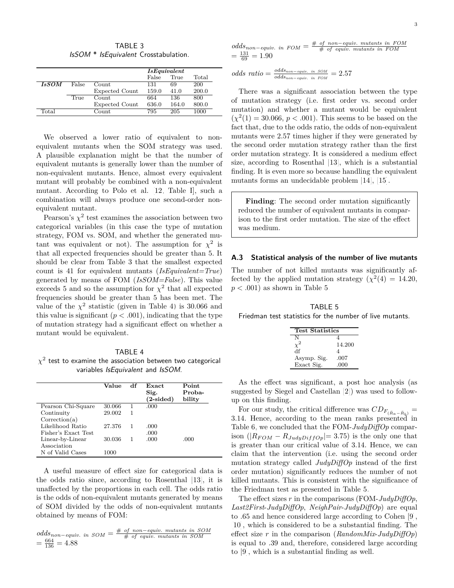TABLE 3 IsSOM \* IsEquivalent Crosstabulation.

<span id="page-2-0"></span>

|              |       |                       | IsEquivalent |       |       |
|--------------|-------|-----------------------|--------------|-------|-------|
|              |       |                       | False        | True  | Total |
| <i>IsSOM</i> | False | Count                 | 131          | 69    | 200   |
|              |       | <b>Expected Count</b> | 159.0        | 41.0  | 200.0 |
|              | True  | Count                 | 664          | 136   | 800   |
|              |       | <b>Expected Count</b> | 636.0        | 164.0 | 800.0 |
| Total        |       | $_{\rm Count}$        | 795          | 205   | 1000  |

We observed a lower ratio of equivalent to nonequivalent mutants when the SOM strategy was used. A plausible explanation might be that the number of equivalent mutants is generally lower than the number of non-equivalent mutants. Hence, almost every equivalent mutant will probably be combined with a non-equivalent mutant. According to Polo et al. [\[12,](#page-6-3) Table I], such a combination will always produce one second-order nonequivalent mutant.

Pearson's  $\chi^2$  test examines the association between two categorical variables (in this case the type of mutation strategy, FOM vs. SOM, and whether the generated mutant was equivalent or not). The assumption for  $\chi^2$  is that all expected frequencies should be greater than 5. It should be clear from Table [3](#page-2-0) that the smallest expected count is 41 for equivalent mutants (*IsEquivalent=True*) generated by means of FOM (*IsSOM=False*). This value exceeds 5 and so the assumption for  $\chi^2$  that all expected frequencies should be greater than 5 has been met. The value of the  $\chi^2$  statistic (given in Table [4\)](#page-2-1) is 30.066 and this value is significant  $(p < .001)$ , indicating that the type of mutation strategy had a significant effect on whether a mutant would be equivalent.

#### TABLE 4

<span id="page-2-1"></span> $\chi^2$  test to examine the association between two categorical variables IsEquivalent and IsSOM.

|                     | Value  | df | Exact<br>Sig.<br>$(2\text{-sided})$ | Point<br>Proba-<br>bility |
|---------------------|--------|----|-------------------------------------|---------------------------|
| Pearson Chi-Square  | 30.066 | 1  | .000                                |                           |
| Continuity          | 29.002 | 1  |                                     |                           |
| Correction(a)       |        |    |                                     |                           |
| Likelihood Ratio    | 27.376 |    | .000                                |                           |
| Fisher's Exact Test |        |    | .000                                |                           |
| Linear-by-Linear    | 30.036 |    | .000                                | .000                      |
| Association         |        |    |                                     |                           |
| N of Valid Cases    | 1000   |    |                                     |                           |

A useful measure of effect size for categorical data is the odds ratio since, according to Rosenthal [\[13\]](#page-6-4), it is unaffected by the proportions in each cell. The odds ratio is the odds of non-equivalent mutants generated by means of SOM divided by the odds of non-equivalent mutants obtained by means of FOM:

$$
odds_{non-equiv. in SOM} = \frac{\# \text{ of non-equiv. mutants in SOM}}{\# \text{ of equiv. mutants in SOM}}
$$

$$
= \frac{664}{136} = 4.88
$$

$$
odds_{non-equiv. in FOM} = \frac{\text{# of non-equiv. mutants in FOM}}{\text{# of equiv. mutants in FOM}}
$$

$$
= \frac{131}{69} = 1.90
$$

 $odds$   $ratio = \frac{odds_{non-equiv.}}{odds}$  *in SOM*  $\frac{oaas_{non-equiv. in SOM}}{odds_{non-equiv. in FOM}} = 2.57$ 

There was a significant association between the type of mutation strategy (i.e. first order vs. second order mutation) and whether a mutant would be equivalent  $(\chi^2(1) = 30.066, p < .001)$ . This seems to be based on the fact that, due to the odds ratio, the odds of non-equivalent mutants were 2.57 times higher if they were generated by the second order mutation strategy rather than the first order mutation strategy. It is considered a medium effect size, according to Rosenthal [\[13\]](#page-6-4), which is a substantial finding. It is even more so because handling the equivalent mutants forms an undecidable problem [\[14\]](#page-6-5), [\[15\]](#page-6-6).

**Finding**: The second order mutation significantly reduced the number of equivalent mutants in comparison to the first order mutation. The size of the effect was medium.

#### **A.3 Statistical analysis of the number of live mutants**

The number of not killed mutants was significantly affected by the applied mutation strategy  $(\chi^2(4) = 14.20,$ *p < .*001) as shown in Table [5.](#page-2-2)

<span id="page-2-2"></span>TABLE 5 Friedman test statistics for the number of live mutants.

| <b>Test Statistics</b> |
|------------------------|
| N                      |
| 14.200                 |
| df<br>4                |
| .007<br>Asymp. Sig.    |
| Exact Sig.<br>.000     |

As the effect was significant, a post hoc analysis (as suggested by Siegel and Castellan [\[2\]](#page-5-1)) was used to followup on this finding.

For our study, the critical difference was  $CD_{F_{(\bar{R}_a - \bar{R}_b)}} =$ 3.14. Hence, according to the mean ranks presented in Table [6,](#page-3-0) we concluded that the FOM-*JudyDiffOp* comparison  $(|R_{FOM} - R_{JudyDiffOp}| = 3.75)$  is the only one that is greater than our critical value of 3*.*14. Hence, we can claim that the intervention (i.e. using the second order mutation strategy called *JudyDiffOp* instead of the first order mutation) significantly reduces the number of not killed mutants. This is consistent with the significance of the Friedman test as presented in Table [5.](#page-2-2)

The effect sizes *r* in the comparisons (FOM-*JudyDiffOp*, *Last2First*-*JudyDiffOp*, *NeighPair*-*JudyDiffOp*) are equal to *.*65 and hence considered large according to Cohen [\[9\]](#page-6-0), [\[10\]](#page-6-1), which is considered to be a substantial finding. The effect size *r* in the comparison (*RandomMix*-*JudyDiffOp*) is equal to *.*39 and, therefore, considered large according to [\[9\]](#page-6-0), which is a substantial finding as well.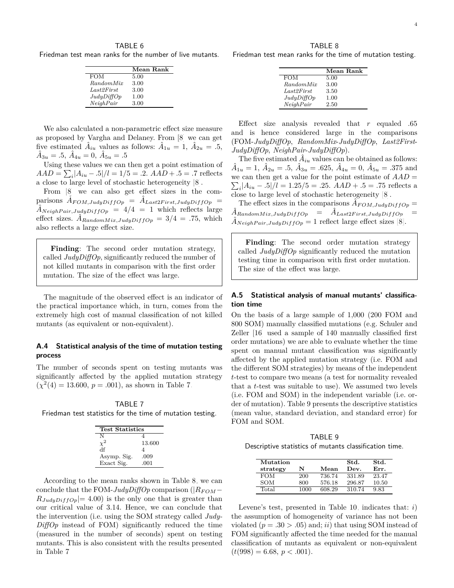TABLE 6

<span id="page-3-0"></span>Friedman test mean ranks for the number of live mutants.

|            | Mean Rank |
|------------|-----------|
| <b>FOM</b> | 5.00      |
| RandomMix  | 3.00      |
| Last2First | 3.00      |
| JudyDiffOp | 1.00      |
| NeiahPair  | 3.00      |
|            |           |

We also calculated a non-parametric effect size measure as proposed by Vargha and Delaney. From [\[8\]](#page-5-7) we can get five estimated  $\hat{A}_{iu}$  values as follows:  $\hat{A}_{1u} = 1, \hat{A}_{2u} = .5,$  $\hat{A}_{3u} = .5, \ \hat{A}_{4u} = 0, \ \hat{A}_{5u} = .5$ 

Using these values we can then get a point estimation of  $AAD = \sum_{i} |A_{iu} - .5|/l = 1/5 = .2.$   $AAD + .5 = .7$  reflects a close to large level of stochastic heterogeneity [\[8\]](#page-5-7).

From [\[8\]](#page-5-7) we can also get effect sizes in the com- $\hat{A}_{FOM,JudyDiffOp} = \hat{A}_{Last2First,JudyDiffOp}$  $\ddot{A}$ <sub>Neigh</sub>Pair,JudyDiffOp =  $4/4$  = 1 which reflects large effect sizes.  $A_{RandomMix,JulyDiffOp} = 3/4 = .75$ , which also reflects a large effect size.

**Finding**: The second order mutation strategy, called *JudyDiffOp*, significantly reduced the number of not killed mutants in comparison with the first order mutation. The size of the effect was large.

The magnitude of the observed effect is an indicator of the practical importance which, in turn, comes from the extremely high cost of manual classification of not killed mutants (as equivalent or non-equivalent).

## **A.4 Statistical analysis of the time of mutation testing process**

The number of seconds spent on testing mutants was significantly affected by the applied mutation strategy  $(\chi^2(4) = 13.600, p = .001)$ , as shown in Table [7.](#page-3-1)

<span id="page-3-1"></span>TABLE 7 Friedman test statistics for the time of mutation testing.

| <b>Test Statistics</b> |        |
|------------------------|--------|
| N                      |        |
|                        | 13.600 |
| df                     | 4      |
| Asymp. Sig.            | .009   |
| Exact Sig.             | .001   |

According to the mean ranks shown in Table [8,](#page-3-2) we can conclude that the FOM-*JudyDiffOp* comparison ( $|R_{FOM}$  –  $R_{JudyDiffOp}|=4.00$ ) is the only one that is greater than our critical value of 3*.*14. Hence, we can conclude that the intervention (i.e. using the SOM strategy called *Judy-DiffOp* instead of FOM) significantly reduced the time (measured in the number of seconds) spent on testing mutants. This is also consistent with the results presented in Table [7.](#page-3-1)

<span id="page-3-2"></span>TABLE 8 Friedman test mean ranks for the time of mutation testing.

|            | Mean Rank |
|------------|-----------|
| <b>FOM</b> | 5.00      |
| RandomMix  | 3.00      |
| Last2First | 3.50      |
| JudyDiffOp | 1.00      |
| NeighPair  | 2.50      |
|            |           |

Effect size analysis revealed that *r* equaled *.*65 and is hence considered large in the comparisons (FOM-*JudyDiffOp*, *RandomMix*-*JudyDiffOp*, *Last2First*-*JudyDiffOp*, *NeighPair*-*JudyDiffOp*).

The five estimated  $\hat{A}_{iu}$  values can be obtained as follows:  $\hat{A}_{1u} = 1, \ \hat{A}_{2u} = .5, \ \hat{A}_{3u} = .625, \ \hat{A}_{4u} = 0, \ \hat{A}_{5u} = .375 \text{ and}$ we can then get a value for the point estimate of  $AAD =$  $\sum_i |A_{iu} - .5|/l = 1.25/5 = .25$ .  $AAD + .5 = .75$  reflects a close to large level of stochastic heterogeneity [\[8\]](#page-5-7).

The effect sizes in the comparisons  $\widetilde{A}_{FOM,JudyDiffOp} =$  $\hat{A}_{\textit{RandomMix},\textit{JulyDiffOp}} \quad = \quad \hat{A}_{\textit{Last2First},\textit{JulyDiffOp}}$  $\hat{A}_{NeighPair,JulyDiffOp} = 1$  reflect large effect sizes [\[8\]](#page-5-7).

**Finding**: The second order mutation strategy called *JudyDiffOp* significantly reduced the mutation testing time in comparison with first order mutation. The size of the effect was large.

# **A.5 Statistical analysis of manual mutants' classification time**

On the basis of a large sample of 1,000 (200 FOM and 800 SOM) manually classified mutations (e.g. Schuler and Zeller [\[16\]](#page-6-7) used a sample of 140 manually classified first order mutations) we are able to evaluate whether the time spent on manual mutant classification was significantly affected by the applied mutation strategy (i.e. FOM and the different SOM strategies) by means of the independent *t*-test to compare two means (a test for normality revealed that a *t*-test was suitable to use). We assumed two levels (i.e. FOM and SOM) in the independent variable (i.e. order of mutation). Table [9](#page-3-3) presents the descriptive statistics (mean value, standard deviation, and standard error) for FOM and SOM.

<span id="page-3-3"></span>TABLE 9 Descriptive statistics of mutants classification time.

| Mutation<br>strategy | N    | Mean   | Std.<br>Dev. | Std.<br>Err. |
|----------------------|------|--------|--------------|--------------|
| <b>FOM</b>           | 200  | 736.74 | 331.89       | 23.47        |
| <b>SOM</b>           | 800  | 576.18 | 296.87       | 10.50        |
| Total                | 1000 | 608.29 | 310.74       | 9.83         |

Levene's test, presented in Table [10,](#page-4-0) indicates that: *i*) the assumption of homogeneity of variance has not been violated  $(p = .30 > .05)$  and; *ii*) that using SOM instead of FOM significantly affected the time needed for the manual classification of mutants as equivalent or non-equivalent  $(t(998) = 6.68, p < .001).$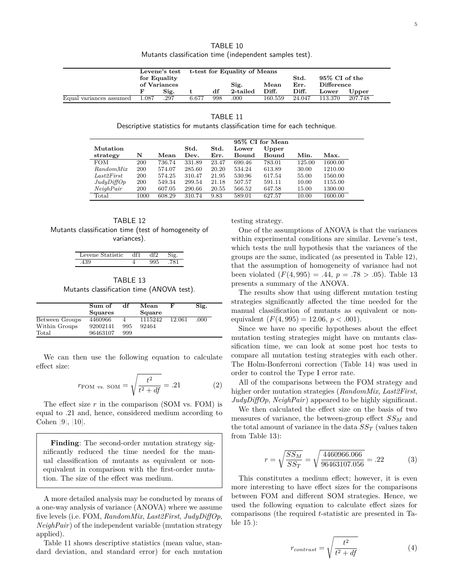<span id="page-4-0"></span>

| t-test for Equality of Means<br>Levene's test |      |                              |     |          |         |        |         |         |                                     |
|-----------------------------------------------|------|------------------------------|-----|----------|---------|--------|---------|---------|-------------------------------------|
|                                               |      |                              |     |          |         | Std.   |         |         |                                     |
|                                               |      | Sig.<br>Mean                 |     |          | Err.    |        |         |         |                                     |
|                                               | Sig. |                              | df  | 2-tailed | Diff.   | Diff.  | Lower   | Upper   |                                     |
| - 1.087                                       | .297 | 6.677                        | 998 | .000     | 160.559 | 24.047 | 113.370 | 207.748 |                                     |
|                                               |      | for Equality<br>of Variances |     |          |         |        |         |         | 95\% CI of the<br><b>Difference</b> |

Descriptive statistics for mutants classification time for each technique.

<span id="page-4-1"></span>

|                  | 95% CI for Mean |        |               |       |        |              |        |         |
|------------------|-----------------|--------|---------------|-------|--------|--------------|--------|---------|
| Mutation         |                 |        | $_{\rm Std.}$ | Std.  | Lower  | Upper        |        |         |
| strategy         | N               | Mean   | Dev.          | Err.  | Bound  | <b>Bound</b> | Min.   | Max.    |
| <b>FOM</b>       | 200             | 736.74 | 331.89        | 23.47 | 690.46 | 783.01       | 125.00 | 1600.00 |
| <i>RandomMix</i> | 200             | 574.07 | 285.60        | 20.20 | 534.24 | 613.89       | 30.00  | 1210.00 |
| Last2First       | 200             | 574.25 | 310.47        | 21.95 | 530.96 | 617.54       | 55.00  | 1560.00 |
| JudyDiffOp       | 200             | 549.34 | 299.54        | 21.18 | 507.57 | 591.11       | 10.00  | 1155.00 |
| NeighPair        | 200             | 607.05 | 290.66        | 20.55 | 566.52 | 647.58       | 15.00  | 1300.00 |
| Total            | 1000            | 608.29 | 310.74        | 9.83  | 589.01 | 627.57       | 10.00  | 1600.00 |

<span id="page-4-2"></span>TABLE 12 Mutants classification time (test of homogeneity of variances).

| 1U. |  |  |
|-----|--|--|
|     |  |  |

TABLE 13 Mutants classification time (ANOVA test).

<span id="page-4-3"></span>

|                | Sum of         | df  | Mean    | F      | Sig.  |  |
|----------------|----------------|-----|---------|--------|-------|--|
|                | <b>Squares</b> |     | Square  |        |       |  |
| Between Groups | 4460966        |     | 1115242 | 12.061 | .000. |  |
| Within Groups  | 92002141       | 995 | 92464   |        |       |  |
| Total          | 96463107       | 999 |         |        |       |  |

We can then use the following equation to calculate effect size:

$$
r_{\text{FOM vs. SOM}} = \sqrt{\frac{t^2}{t^2 + df}} = .21
$$
 (2)

The effect size *r* in the comparison (SOM vs. FOM) is equal to *.*21 and, hence, considered medium according to Cohen [\[9\]](#page-6-0), [\[10\]](#page-6-1).

**Finding**: The second-order mutation strategy significantly reduced the time needed for the manual classification of mutants as equivalent or nonequivalent in comparison with the first-order mutation. The size of the effect was medium.

A more detailed analysis may be conducted by means of a one-way analysis of variance (ANOVA) where we assume five levels (i.e. FOM, *RandomMix*, *Last2First*, *JudyDiffOp*, *NeighPair*) of the independent variable (mutation strategy applied).

Table [11](#page-4-1) shows descriptive statistics (mean value, standard deviation, and standard error) for each mutation testing strategy.

*r* =

One of the assumptions of ANOVA is that the variances within experimental conditions are similar. Levene's test, which tests the null hypothesis that the variances of the groups are the same, indicated (as presented in Table [12\)](#page-4-2), that the assumption of homogeneity of variance had not been violated  $(F(4, 995)) = .44$ ,  $p = .78 > .05$ ). Table [13](#page-4-3) presents a summary of the ANOVA.

The results show that using different mutation testing strategies significantly affected the time needed for the manual classification of mutants as equivalent or nonequivalent  $(F(4, 995) = 12.06, p < .001)$ .

Since we have no specific hypotheses about the effect mutation testing strategies might have on mutants classification time, we can look at some post hoc tests to compare all mutation testing strategies with each other. The Holm-Bonferroni correction (Table [14\)](#page-5-8) was used in order to control the Type I error rate.

All of the comparisons between the FOM strategy and higher order mutation strategies (*RandomMix*, *Last2First*, *JudyDiffOp*, *NeighPair*) appeared to be highly significant.

We then calculated the effect size on the basis of two measures of variance, the between-group effect *SS<sup>M</sup>* and the total amount of variance in the data  $SS_T$  (values taken from Table [13\)](#page-4-3):

$$
=\sqrt{\frac{SS_M}{SS_T}} = \sqrt{\frac{4460966.066}{96463107.056}} = .22
$$
 (3)

This constitutes a medium effect; however, it is even more interesting to have effect sizes for the comparisons between FOM and different SOM strategies. Hence, we used the following equation to calculate effect sizes for comparisons (the required *t*-statistic are presented in Table [15.](#page-5-9)):

$$
r_{contrast} = \sqrt{\frac{t^2}{t^2 + df}}
$$
 (4)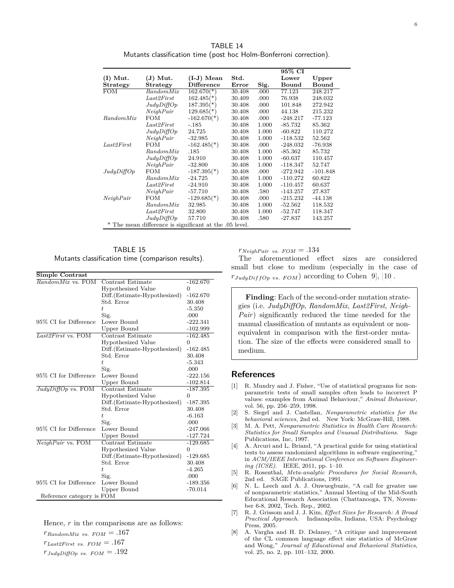TABLE 14 Mutants classification time (post hoc Holm-Bonferroni correction).

<span id="page-5-8"></span>

|                                                        |            |                           |        |       | 95% CI     |            |
|--------------------------------------------------------|------------|---------------------------|--------|-------|------------|------------|
| $(I)$ Mut.                                             | $J)$ Mut.  | $(I-J)$ Mean              | Std.   |       | Lower      | Upper      |
| <b>Strategy</b>                                        | Strategy   | <b>Difference</b>         | Error  | Sig.  | Bound      | Bound      |
| $\overline{\text{FOM}}$                                | RandomMix  | $162.670(*)$              | 30.408 | .000  | 77.123     | 248.217    |
|                                                        | Last2First | $162.485$ <sup>*</sup> )  | 30.409 | .000  | 76.938     | 248.032    |
|                                                        | JudyDiffOp | $187.395(*)$              | 30.408 | .000  | 101.848    | 272.942    |
|                                                        | NeiahPair  | $129.685$ <sup>*</sup> )  | 30.408 | .000  | 44.138     | 215.232    |
| RandomMix                                              | <b>FOM</b> | $-162.670(*)$             | 30.408 | .000  | $-248.217$ | $-77.123$  |
|                                                        | Last2First | $-.185$                   | 30.408 | 1.000 | $-85.732$  | 85.362     |
|                                                        | JudyDiffOp | 24.725                    | 30.408 | 1.000 | $-60.822$  | 110.272    |
|                                                        | NeighPair  | $-32.985$                 | 30.408 | 1.000 | $-118.532$ | 52.562     |
| Last2First                                             | <b>FOM</b> | $-162.485$ <sup>*</sup> ) | 30.408 | .000  | $-248.032$ | $-76.938$  |
|                                                        | RandomMix  | .185                      | 30.408 | 1.000 | $-85.362$  | 85.732     |
|                                                        | JudyDiffOp | 24.910                    | 30.408 | 1.000 | $-60.637$  | 110.457    |
|                                                        | NeiahPair  | $-32.800$                 | 30.408 | 1.000 | $-118.347$ | 52.747     |
| JudyDiffOp                                             | FOM        | $-187.395(*)$             | 30.408 | .000  | $-272.942$ | $-101.848$ |
|                                                        | RandomMix  | $-24.725$                 | 30.408 | 1.000 | $-110.272$ | 60.822     |
|                                                        | Last2First | $-24.910$                 | 30.408 | 1.000 | $-110.457$ | 60.637     |
|                                                        | NeighPair  | $-57.710$                 | 30.408 | .580  | $-143.257$ | 27.837     |
| NeighPair                                              | FOM        | $-129.685$ <sup>*</sup> ) | 30.408 | .000  | $-215.232$ | $-44.138$  |
|                                                        | RandomMix  | 32.985                    | 30.408 | 1.000 | $-52.562$  | 118.532    |
|                                                        | Last2First | 32.800                    | 30.408 | 1.000 | $-52.747$  | 118.347    |
|                                                        | JudyDiffOp | 57.710                    | 30.408 | .580  | $-27.837$  | 143.257    |
| * The mean difference is significant at the .05 level. |            |                           |        |       |            |            |

<span id="page-5-9"></span>TABLE 15 Mutants classification time (comparison results).

| Simple Contrast                 |                               |            |  |  |
|---------------------------------|-------------------------------|------------|--|--|
| $\overline{RandomMix}$ vs. FOM  | Contrast Estimate             | $-162.670$ |  |  |
|                                 | Hypothesized Value            | 0          |  |  |
|                                 | Diff. (Estimate-Hypothesized) | $-162.670$ |  |  |
|                                 | Std. Error                    | 30.408     |  |  |
|                                 | t.                            | $-5.350$   |  |  |
|                                 | Sig.                          | .000       |  |  |
| 95% CI for Difference           | Lower Bound                   | $-222.341$ |  |  |
|                                 | Upper Bound                   | $-102.999$ |  |  |
| $\overline{Last2First}$ vs. FOM | Contrast Estimate             | $-162.485$ |  |  |
|                                 | Hypothesized Value            | $\Omega$   |  |  |
|                                 | Diff.(Estimate-Hypothesized)  | $-162.485$ |  |  |
|                                 | Std. Error                    | 30.408     |  |  |
|                                 | $t_{i}$                       | $-5.343$   |  |  |
|                                 | Sig.                          | .000       |  |  |
| 95% CI for Difference           | Lower Bound                   | $-222.156$ |  |  |
|                                 | Upper Bound                   | $-102.814$ |  |  |
| $JudyDiffOp$ vs. FOM            | Contrast Estimate             | $-187.395$ |  |  |
|                                 | Hypothesized Value            | $\Omega$   |  |  |
|                                 | Diff. (Estimate-Hypothesized) | $-187.395$ |  |  |
|                                 | Std. Error                    | 30.408     |  |  |
|                                 | t.                            | $-6.163$   |  |  |
|                                 | Sig.                          | .000       |  |  |
| 95% CI for Difference           | Lower Bound                   | $-247.066$ |  |  |
|                                 | <b>Upper Bound</b>            | $-127.724$ |  |  |
| $NeighPair$ vs. FOM             | Contrast Estimate             | $-129.685$ |  |  |
|                                 | Hypothesized Value            | 0          |  |  |
|                                 | Diff.(Estimate-Hypothesized)  | $-129.685$ |  |  |
|                                 | Std. Error                    | 30.408     |  |  |
|                                 | $t_{i}$                       | $-4.265$   |  |  |
|                                 | Sig.                          | .000       |  |  |
| 95% CI for Difference           | Lower Bound                   | -189.356   |  |  |
|                                 | Upper Bound                   | -70.014    |  |  |
| Reference category is FOM       |                               |            |  |  |

Hence, *r* in the comparisons are as follows:

 $r_{RandomMix vs. FOM} = .167$  $r_{Last2First}$  *vs.*  $FOM = .167$  $r_{\text{JudyDiffOp}}$  vs.  $FOM = .192$ 

 $r_{NeighPair}$  *vs.*  $FOM = .134$ 

The aforementioned effect sizes are considered small but close to medium (especially in the case of  $r_{JudyDiffOp}$  vs.  $FOM$ ) according to Cohen [\[9\]](#page-6-0), [\[10\]](#page-6-1).

**Finding**: Each of the second-order mutation strategies (i.e. *JudyDiffOp*, *RandomMix*, *Last2First*, *Neigh-Pair*) significantly reduced the time needed for the manual classification of mutants as equivalent or nonequivalent in comparison with the first-order mutation. The size of the effects were considered small to medium.

# **References**

- <span id="page-5-0"></span>[1] R. Mundry and J. Fisher, "Use of statistical programs for nonparametric tests of small samples often leads to incorrect P values: examples from Animal Behaviour," *Animal Behaviour*, vol. 56, pp. 256–259, 1998.
- <span id="page-5-1"></span>[2] S. Siegel and J. Castellan, *Nonparametric statistics for the behavioral sciences*, 2nd ed. New York: McGraw-Hill, 1988.
- <span id="page-5-2"></span>[3] M. A. Pett, *Nonparametric Statistics in Health Care Research: Statistics for Small Samples and Unusual Distributions*. Sage Publications, Inc, 1997.
- <span id="page-5-3"></span>[4] A. Arcuri and L. Briand, "A practical guide for using statistical tests to assess randomized algorithms in software engineering," in *ACM/IEEE International Conference on Software Engineering (ICSE)*. IEEE, 2011, pp. 1–10.
- <span id="page-5-4"></span>[5] R. Rosenthal, *Meta-analytic Procedures for Social Research*, 2nd ed. SAGE Publications, 1991.
- <span id="page-5-5"></span>[6] N. L. Leech and A. J. Onwuegbuzie, "A call for greater use of nonparametric statistics," Annual Meeting of the Mid-South Educational Research Association (Chattanooga, TN, November 6-8, 2002, Tech. Rep., 2002.
- <span id="page-5-6"></span>[7] R. J. Grissom and J. J. Kim, *Effect Sizes for Research: A Broad Practical Approach*. Indianapolis, Indiana, USA: Psychology Press, 2005.
- <span id="page-5-7"></span>[8] A. Vargha and H. D. Delaney, "A critique and improvement of the CL common language effect size statistics of McGraw and Wong," *Journal of Educational and Behavioral Statistics*, vol. 25, no. 2, pp. 101–132, 2000.